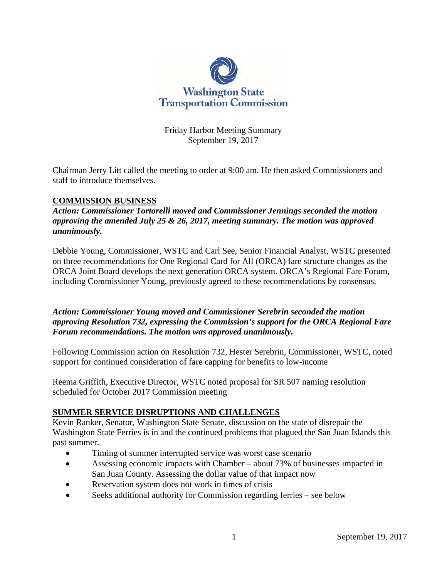

Friday Harbor Meeting Summary September 19, 2017

Chairman Jerry Litt called the meeting to order at 9:00 am. He then asked Commissioners and staff to introduce themselves.

# **COMMISSION BUSINESS**

*Action: Commissioner Tortorelli moved and Commissioner Jennings seconded the motion approving the amended July 25 & 26, 2017, meeting summary. The motion was approved unanimously.*

Debbie Young, Commissioner, WSTC and Carl See, Senior Financial Analyst, WSTC presented on three recommendations for One Regional Card for All (ORCA) fare structure changes as the ORCA Joint Board develops the next generation ORCA system. ORCA's Regional Fare Forum, including Commissioner Young, previously agreed to these recommendations by consensus.

*Action: Commissioner Young moved and Commissioner Serebrin seconded the motion approving Resolution 732, expressing the Commission's support for the ORCA Regional Fare Forum recommendations. The motion was approved unanimously.* 

Following Commission action on Resolution 732, Hester Serebrin, Commissioner, WSTC, noted support for continued consideration of fare capping for benefits to low-income

Reema Griffith, Executive Director, WSTC noted proposal for SR 507 naming resolution scheduled for October 2017 Commission meeting

# **SUMMER SERVICE DISRUPTIONS AND CHALLENGES**

Kevin Ranker, Senator, Washington State Senate, discussion on the state of disrepair the Washington State Ferries is in and the continued problems that plagued the San Juan Islands this past summer.

- Timing of summer interrupted service was worst case scenario
- Assessing economic impacts with Chamber about 73% of businesses impacted in San Juan County. Assessing the dollar value of that impact now
- Reservation system does not work in times of crisis
- Seeks additional authority for Commission regarding ferries see below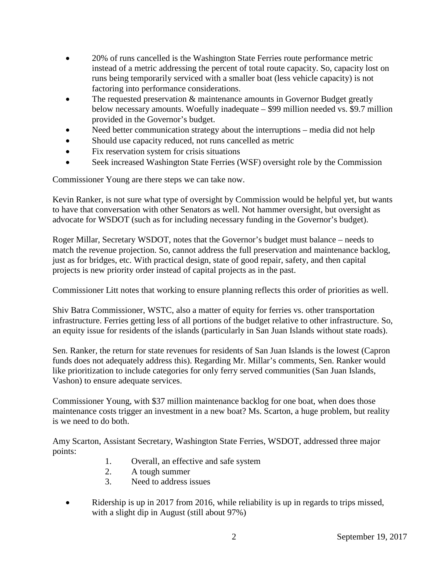- 20% of runs cancelled is the Washington State Ferries route performance metric instead of a metric addressing the percent of total route capacity. So, capacity lost on runs being temporarily serviced with a smaller boat (less vehicle capacity) is not factoring into performance considerations.
- The requested preservation & maintenance amounts in Governor Budget greatly below necessary amounts. Woefully inadequate – \$99 million needed vs. \$9.7 million provided in the Governor's budget.
- Need better communication strategy about the interruptions media did not help
- Should use capacity reduced, not runs cancelled as metric
- Fix reservation system for crisis situations
- Seek increased Washington State Ferries (WSF) oversight role by the Commission

Commissioner Young are there steps we can take now.

Kevin Ranker, is not sure what type of oversight by Commission would be helpful yet, but wants to have that conversation with other Senators as well. Not hammer oversight, but oversight as advocate for WSDOT (such as for including necessary funding in the Governor's budget).

Roger Millar, Secretary WSDOT, notes that the Governor's budget must balance – needs to match the revenue projection. So, cannot address the full preservation and maintenance backlog, just as for bridges, etc. With practical design, state of good repair, safety, and then capital projects is new priority order instead of capital projects as in the past.

Commissioner Litt notes that working to ensure planning reflects this order of priorities as well.

Shiv Batra Commissioner, WSTC, also a matter of equity for ferries vs. other transportation infrastructure. Ferries getting less of all portions of the budget relative to other infrastructure. So, an equity issue for residents of the islands (particularly in San Juan Islands without state roads).

Sen. Ranker, the return for state revenues for residents of San Juan Islands is the lowest (Capron funds does not adequately address this). Regarding Mr. Millar's comments, Sen. Ranker would like prioritization to include categories for only ferry served communities (San Juan Islands, Vashon) to ensure adequate services.

Commissioner Young, with \$37 million maintenance backlog for one boat, when does those maintenance costs trigger an investment in a new boat? Ms. Scarton, a huge problem, but reality is we need to do both.

Amy Scarton, Assistant Secretary, Washington State Ferries, WSDOT, addressed three major points:

- 1. Overall, an effective and safe system
- 2. A tough summer
- 3. Need to address issues
- Ridership is up in 2017 from 2016, while reliability is up in regards to trips missed, with a slight dip in August (still about 97%)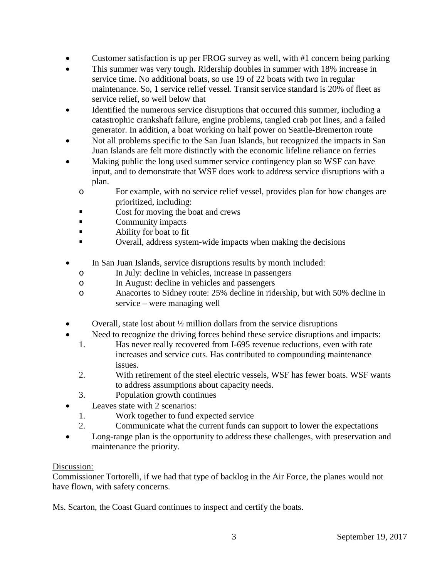- Customer satisfaction is up per FROG survey as well, with #1 concern being parking
- This summer was very tough. Ridership doubles in summer with 18% increase in service time. No additional boats, so use 19 of 22 boats with two in regular maintenance. So, 1 service relief vessel. Transit service standard is 20% of fleet as service relief, so well below that
- Identified the numerous service disruptions that occurred this summer, including a catastrophic crankshaft failure, engine problems, tangled crab pot lines, and a failed generator. In addition, a boat working on half power on Seattle-Bremerton route
- Not all problems specific to the San Juan Islands, but recognized the impacts in San Juan Islands are felt more distinctly with the economic lifeline reliance on ferries
- Making public the long used summer service contingency plan so WSF can have input, and to demonstrate that WSF does work to address service disruptions with a plan.
	- o For example, with no service relief vessel, provides plan for how changes are prioritized, including:
	- Cost for moving the boat and crews
	- **Community impacts**
	- **Ability for boat to fit**
	- Overall, address system-wide impacts when making the decisions
- In San Juan Islands, service disruptions results by month included:
	- o In July: decline in vehicles, increase in passengers
	- o In August: decline in vehicles and passengers
	- o Anacortes to Sidney route: 25% decline in ridership, but with 50% decline in service – were managing well
- Overall, state lost about  $\frac{1}{2}$  million dollars from the service disruptions
- Need to recognize the driving forces behind these service disruptions and impacts:
	- 1. Has never really recovered from I-695 revenue reductions, even with rate increases and service cuts. Has contributed to compounding maintenance issues.
	- 2. With retirement of the steel electric vessels, WSF has fewer boats. WSF wants to address assumptions about capacity needs.
	- 3. Population growth continues
- Leaves state with 2 scenarios:
	- 1. Work together to fund expected service
	- 2. Communicate what the current funds can support to lower the expectations
- Long-range plan is the opportunity to address these challenges, with preservation and maintenance the priority.

# Discussion:

Commissioner Tortorelli, if we had that type of backlog in the Air Force, the planes would not have flown, with safety concerns.

Ms. Scarton, the Coast Guard continues to inspect and certify the boats.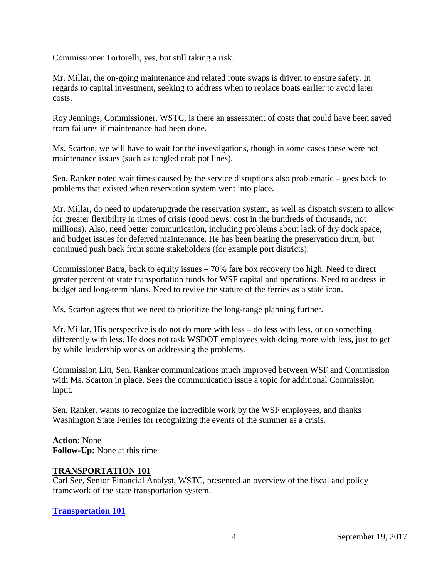Commissioner Tortorelli, yes, but still taking a risk.

Mr. Millar, the on-going maintenance and related route swaps is driven to ensure safety. In regards to capital investment, seeking to address when to replace boats earlier to avoid later costs.

Roy Jennings, Commissioner, WSTC, is there an assessment of costs that could have been saved from failures if maintenance had been done.

Ms. Scarton, we will have to wait for the investigations, though in some cases these were not maintenance issues (such as tangled crab pot lines).

Sen. Ranker noted wait times caused by the service disruptions also problematic – goes back to problems that existed when reservation system went into place.

Mr. Millar, do need to update/upgrade the reservation system, as well as dispatch system to allow for greater flexibility in times of crisis (good news: cost in the hundreds of thousands, not millions). Also, need better communication, including problems about lack of dry dock space, and budget issues for deferred maintenance. He has been beating the preservation drum, but continued push back from some stakeholders (for example port districts).

Commissioner Batra, back to equity issues – 70% fare box recovery too high. Need to direct greater percent of state transportation funds for WSF capital and operations. Need to address in budget and long-term plans. Need to revive the stature of the ferries as a state icon.

Ms. Scarton agrees that we need to prioritize the long-range planning further.

Mr. Millar, His perspective is do not do more with less – do less with less, or do something differently with less. He does not task WSDOT employees with doing more with less, just to get by while leadership works on addressing the problems.

Commission Litt, Sen. Ranker communications much improved between WSF and Commission with Ms. Scarton in place. Sees the communication issue a topic for additional Commission input.

Sen. Ranker, wants to recognize the incredible work by the WSF employees, and thanks Washington State Ferries for recognizing the events of the summer as a crisis.

**Action:** None **Follow-Up:** None at this time

#### **TRANSPORTATION 101**

Carl See, Senior Financial Analyst, WSTC, presented an overview of the fiscal and policy framework of the state transportation system.

# **[Transportation 101](http://www.wstc.wa.gov/Meetings/AgendasMinutes/agendas/2017/September19/documents/2017_0919_BP_4_Transportation101.pdf)**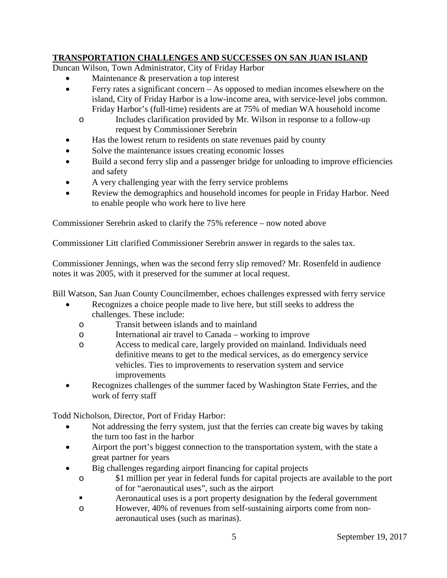# **TRANSPORTATION CHALLENGES AND SUCCESSES ON SAN JUAN ISLAND**

Duncan Wilson, Town Administrator, City of Friday Harbor

- Maintenance  $\&$  preservation a top interest
- Ferry rates a significant concern As opposed to median incomes elsewhere on the island, City of Friday Harbor is a low-income area, with service-level jobs common. Friday Harbor's (full-time) residents are at 75% of median WA household income
	- o Includes clarification provided by Mr. Wilson in response to a follow-up request by Commissioner Serebrin
- Has the lowest return to residents on state revenues paid by county
- Solve the maintenance issues creating economic losses
- Build a second ferry slip and a passenger bridge for unloading to improve efficiencies and safety
- A very challenging year with the ferry service problems
- Review the demographics and household incomes for people in Friday Harbor. Need to enable people who work here to live here

Commissioner Serebrin asked to clarify the 75% reference – now noted above

Commissioner Litt clarified Commissioner Serebrin answer in regards to the sales tax.

Commissioner Jennings, when was the second ferry slip removed? Mr. Rosenfeld in audience notes it was 2005, with it preserved for the summer at local request.

Bill Watson, San Juan County Councilmember, echoes challenges expressed with ferry service

- Recognizes a choice people made to live here, but still seeks to address the challenges. These include:
	- o Transit between islands and to mainland
	- o International air travel to Canada working to improve
	- o Access to medical care, largely provided on mainland. Individuals need definitive means to get to the medical services, as do emergency service vehicles. Ties to improvements to reservation system and service improvements
- Recognizes challenges of the summer faced by Washington State Ferries, and the work of ferry staff

Todd Nicholson, Director, Port of Friday Harbor:

- Not addressing the ferry system, just that the ferries can create big waves by taking the turn too fast in the harbor
- Airport the port's biggest connection to the transportation system, with the state a great partner for years
- Big challenges regarding airport financing for capital projects
	- o \$1 million per year in federal funds for capital projects are available to the port of for "aeronautical uses", such as the airport
	- Aeronautical uses is a port property designation by the federal government
	- o However, 40% of revenues from self-sustaining airports come from nonaeronautical uses (such as marinas).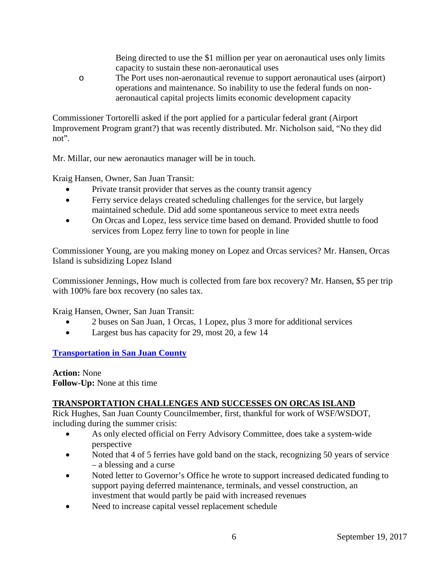Being directed to use the \$1 million per year on aeronautical uses only limits capacity to sustain these non-aeronautical uses

o The Port uses non-aeronautical revenue to support aeronautical uses (airport) operations and maintenance. So inability to use the federal funds on nonaeronautical capital projects limits economic development capacity

Commissioner Tortorelli asked if the port applied for a particular federal grant (Airport Improvement Program grant?) that was recently distributed. Mr. Nicholson said, "No they did not".

Mr. Millar, our new aeronautics manager will be in touch.

Kraig Hansen, Owner, San Juan Transit:

- Private transit provider that serves as the county transit agency
- Ferry service delays created scheduling challenges for the service, but largely maintained schedule. Did add some spontaneous service to meet extra needs
- On Orcas and Lopez, less service time based on demand. Provided shuttle to food services from Lopez ferry line to town for people in line

Commissioner Young, are you making money on Lopez and Orcas services? Mr. Hansen, Orcas Island is subsidizing Lopez Island

Commissioner Jennings, How much is collected from fare box recovery? Mr. Hansen, \$5 per trip with 100% fare box recovery (no sales tax.

Kraig Hansen, Owner, San Juan Transit:

- 2 buses on San Juan, 1 Orcas, 1 Lopez, plus 3 more for additional services
- Largest bus has capacity for 29, most 20, a few 14

**[Transportation in San Juan County](http://www.wstc.wa.gov/Meetings/AgendasMinutes/agendas/2017/September19/documents/2017_0919_BP_5_TransportatioinSanJuanCounty.pdf)**

**Action:** None **Follow-Up:** None at this time

# **TRANSPORTATION CHALLENGES AND SUCCESSES ON ORCAS ISLAND**

Rick Hughes, San Juan County Councilmember, first, thankful for work of WSF/WSDOT, including during the summer crisis:

- As only elected official on Ferry Advisory Committee, does take a system-wide perspective
- Noted that 4 of 5 ferries have gold band on the stack, recognizing 50 years of service – a blessing and a curse
- Noted letter to Governor's Office he wrote to support increased dedicated funding to support paying deferred maintenance, terminals, and vessel construction, an investment that would partly be paid with increased revenues
- Need to increase capital vessel replacement schedule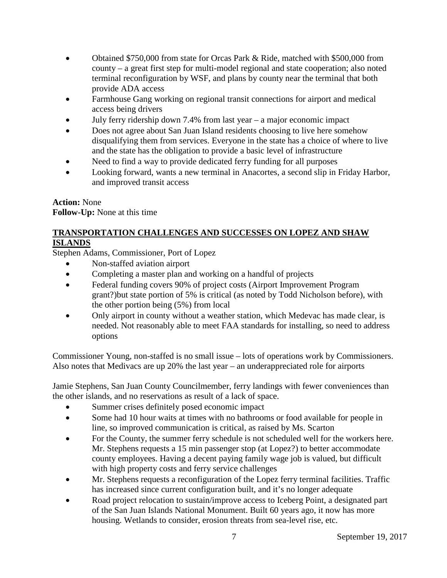- Obtained \$750,000 from state for Orcas Park & Ride, matched with \$500,000 from county – a great first step for multi-model regional and state cooperation; also noted terminal reconfiguration by WSF, and plans by county near the terminal that both provide ADA access
- Farmhouse Gang working on regional transit connections for airport and medical access being drivers
- July ferry ridership down  $7.4\%$  from last year a major economic impact
- Does not agree about San Juan Island residents choosing to live here somehow disqualifying them from services. Everyone in the state has a choice of where to live and the state has the obligation to provide a basic level of infrastructure
- Need to find a way to provide dedicated ferry funding for all purposes
- Looking forward, wants a new terminal in Anacortes, a second slip in Friday Harbor, and improved transit access

# **Action:** None **Follow-Up:** None at this time

# **TRANSPORTATION CHALLENGES AND SUCCESSES ON LOPEZ AND SHAW ISLANDS**

Stephen Adams, Commissioner, Port of Lopez

- Non-staffed aviation airport
- Completing a master plan and working on a handful of projects
- Federal funding covers 90% of project costs (Airport Improvement Program grant?)but state portion of 5% is critical (as noted by Todd Nicholson before), with the other portion being (5%) from local
- Only airport in county without a weather station, which Medevac has made clear, is needed. Not reasonably able to meet FAA standards for installing, so need to address options

Commissioner Young, non-staffed is no small issue – lots of operations work by Commissioners. Also notes that Medivacs are up 20% the last year – an underappreciated role for airports

Jamie Stephens, San Juan County Councilmember, ferry landings with fewer conveniences than the other islands, and no reservations as result of a lack of space.

- Summer crises definitely posed economic impact
- Some had 10 hour waits at times with no bathrooms or food available for people in line, so improved communication is critical, as raised by Ms. Scarton
- For the County, the summer ferry schedule is not scheduled well for the workers here. Mr. Stephens requests a 15 min passenger stop (at Lopez?) to better accommodate county employees. Having a decent paying family wage job is valued, but difficult with high property costs and ferry service challenges
- Mr. Stephens requests a reconfiguration of the Lopez ferry terminal facilities. Traffic has increased since current configuration built, and it's no longer adequate
- Road project relocation to sustain/improve access to Iceberg Point, a designated part of the San Juan Islands National Monument. Built 60 years ago, it now has more housing. Wetlands to consider, erosion threats from sea-level rise, etc.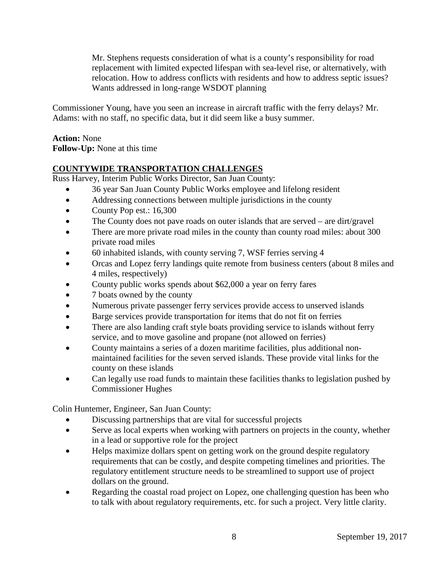Mr. Stephens requests consideration of what is a county's responsibility for road replacement with limited expected lifespan with sea-level rise, or alternatively, with relocation. How to address conflicts with residents and how to address septic issues? Wants addressed in long-range WSDOT planning

Commissioner Young, have you seen an increase in aircraft traffic with the ferry delays? Mr. Adams: with no staff, no specific data, but it did seem like a busy summer.

### **Action:** None **Follow-Up:** None at this time

# **COUNTYWIDE TRANSPORTATION CHALLENGES**

Russ Harvey, Interim Public Works Director, San Juan County:

- 36 year San Juan County Public Works employee and lifelong resident
- Addressing connections between multiple jurisdictions in the county
- County Pop est.: 16,300
- The County does not pave roads on outer islands that are served are dirt/gravel
- There are more private road miles in the county than county road miles: about 300 private road miles
- 60 inhabited islands, with county serving 7, WSF ferries serving 4
- Orcas and Lopez ferry landings quite remote from business centers (about 8 miles and 4 miles, respectively)
- County public works spends about \$62,000 a year on ferry fares
- 7 boats owned by the county
- Numerous private passenger ferry services provide access to unserved islands
- Barge services provide transportation for items that do not fit on ferries
- There are also landing craft style boats providing service to islands without ferry service, and to move gasoline and propane (not allowed on ferries)
- County maintains a series of a dozen maritime facilities, plus additional nonmaintained facilities for the seven served islands. These provide vital links for the county on these islands
- Can legally use road funds to maintain these facilities thanks to legislation pushed by Commissioner Hughes

Colin Huntemer, Engineer, San Juan County:

- Discussing partnerships that are vital for successful projects
- Serve as local experts when working with partners on projects in the county, whether in a lead or supportive role for the project
- Helps maximize dollars spent on getting work on the ground despite regulatory requirements that can be costly, and despite competing timelines and priorities. The regulatory entitlement structure needs to be streamlined to support use of project dollars on the ground.
- Regarding the coastal road project on Lopez, one challenging question has been who to talk with about regulatory requirements, etc. for such a project. Very little clarity.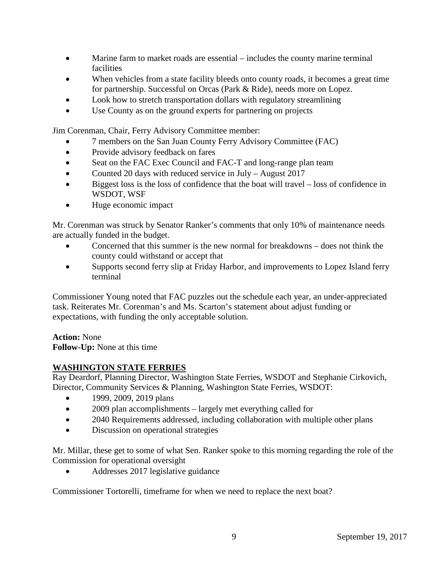- Marine farm to market roads are essential includes the county marine terminal facilities
- When vehicles from a state facility bleeds onto county roads, it becomes a great time for partnership. Successful on Orcas (Park & Ride), needs more on Lopez.
- Look how to stretch transportation dollars with regulatory streamlining
- Use County as on the ground experts for partnering on projects

Jim Corenman, Chair, Ferry Advisory Committee member:

- 7 members on the San Juan County Ferry Advisory Committee (FAC)
- Provide advisory feedback on fares
- Seat on the FAC Exec Council and FAC-T and long-range plan team
- Counted 20 days with reduced service in July August 2017
- Biggest loss is the loss of confidence that the boat will travel loss of confidence in WSDOT, WSF
- Huge economic impact

Mr. Corenman was struck by Senator Ranker's comments that only 10% of maintenance needs are actually funded in the budget.

- Concerned that this summer is the new normal for breakdowns does not think the county could withstand or accept that
- Supports second ferry slip at Friday Harbor, and improvements to Lopez Island ferry terminal

Commissioner Young noted that FAC puzzles out the schedule each year, an under-appreciated task. Reiterates Mr. Corenman's and Ms. Scarton's statement about adjust funding or expectations, with funding the only acceptable solution.

# **Action:** None

**Follow-Up:** None at this time

# **WASHINGTON STATE FERRIES**

Ray Deardorf, Planning Director, Washington State Ferries, WSDOT and Stephanie Cirkovich, Director, Community Services & Planning, Washington State Ferries, WSDOT:

- 1999, 2009, 2019 plans
- 2009 plan accomplishments largely met everything called for
- 2040 Requirements addressed, including collaboration with multiple other plans
- Discussion on operational strategies

Mr. Millar, these get to some of what Sen. Ranker spoke to this morning regarding the role of the Commission for operational oversight

• Addresses 2017 legislative guidance

Commissioner Tortorelli, timeframe for when we need to replace the next boat?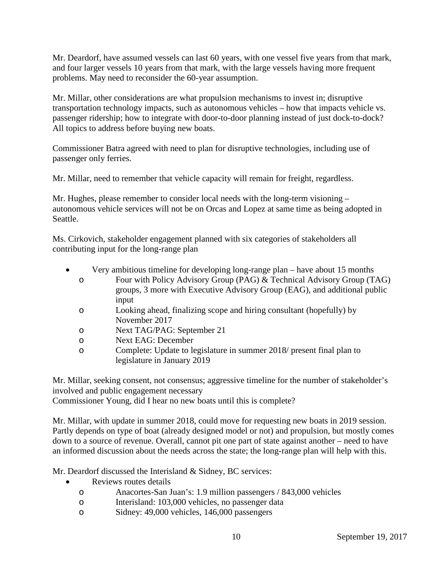Mr. Deardorf, have assumed vessels can last 60 years, with one vessel five years from that mark, and four larger vessels 10 years from that mark, with the large vessels having more frequent problems. May need to reconsider the 60-year assumption.

Mr. Millar, other considerations are what propulsion mechanisms to invest in; disruptive transportation technology impacts, such as autonomous vehicles – how that impacts vehicle vs. passenger ridership; how to integrate with door-to-door planning instead of just dock-to-dock? All topics to address before buying new boats.

Commissioner Batra agreed with need to plan for disruptive technologies, including use of passenger only ferries.

Mr. Millar, need to remember that vehicle capacity will remain for freight, regardless.

Mr. Hughes, please remember to consider local needs with the long-term visioning – autonomous vehicle services will not be on Orcas and Lopez at same time as being adopted in Seattle.

Ms. Cirkovich, stakeholder engagement planned with six categories of stakeholders all contributing input for the long-range plan

- Very ambitious timeline for developing long-range plan have about 15 months
	- o Four with Policy Advisory Group (PAG) & Technical Advisory Group (TAG) groups, 3 more with Executive Advisory Group (EAG), and additional public input
	- o Looking ahead, finalizing scope and hiring consultant (hopefully) by November 2017
	- o Next TAG/PAG: September 21
	- o Next EAG: December
	- o Complete: Update to legislature in summer 2018/ present final plan to legislature in January 2019

Mr. Millar, seeking consent, not consensus; aggressive timeline for the number of stakeholder's involved and public engagement necessary

Commissioner Young, did I hear no new boats until this is complete?

Mr. Millar, with update in summer 2018, could move for requesting new boats in 2019 session. Partly depends on type of boat (already designed model or not) and propulsion, but mostly comes down to a source of revenue. Overall, cannot pit one part of state against another – need to have an informed discussion about the needs across the state; the long-range plan will help with this.

Mr. Deardorf discussed the Interisland & Sidney, BC services:

- Reviews routes details
	- o Anacortes-San Juan's: 1.9 million passengers / 843,000 vehicles
	- o Interisland: 103,000 vehicles, no passenger data
	- o Sidney: 49,000 vehicles, 146,000 passengers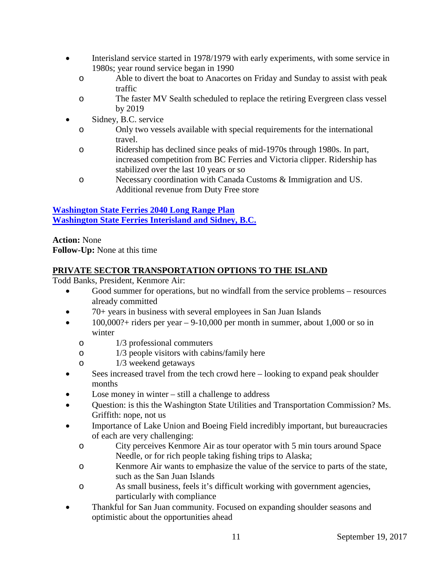- Interisland service started in 1978/1979 with early experiments, with some service in 1980s; year round service began in 1990
	- o Able to divert the boat to Anacortes on Friday and Sunday to assist with peak traffic
	- o The faster MV Sealth scheduled to replace the retiring Evergreen class vessel by 2019
- Sidney, B.C. service
	- o Only two vessels available with special requirements for the international travel.
	- o Ridership has declined since peaks of mid-1970s through 1980s. In part, increased competition from BC Ferries and Victoria clipper. Ridership has stabilized over the last 10 years or so
	- o Necessary coordination with Canada Customs & Immigration and US. Additional revenue from Duty Free store

# **[Washington State Ferries 2040 Long Range Plan](http://www.wstc.wa.gov/Meetings/AgendasMinutes/agendas/2017/September19/documents/2017_0919_BP_6_2040LongRangePlan.pdf) [Washington State Ferries Interisland and Sidney, B.C.](http://www.wstc.wa.gov/Meetings/AgendasMinutes/agendas/2017/September19/documents/2017_0919_BP_6_InterislandandSidneyBC.pdf)**

**Action:** None **Follow-Up:** None at this time

# **PRIVATE SECTOR TRANSPORTATION OPTIONS TO THE ISLAND**

Todd Banks, President, Kenmore Air:

- Good summer for operations, but no windfall from the service problems resources already committed
- 70+ years in business with several employees in San Juan Islands
- $\bullet$  100,000?+ riders per year 9-10,000 per month in summer, about 1,000 or so in winter
	- o 1/3 professional commuters
	- o 1/3 people visitors with cabins/family here
	- o 1/3 weekend getaways
- Sees increased travel from the tech crowd here looking to expand peak shoulder months
- Lose money in winter still a challenge to address
- Question: is this the Washington State Utilities and Transportation Commission? Ms. Griffith: nope, not us
- Importance of Lake Union and Boeing Field incredibly important, but bureaucracies of each are very challenging:
	- o City perceives Kenmore Air as tour operator with 5 min tours around Space Needle, or for rich people taking fishing trips to Alaska;
	- o Kenmore Air wants to emphasize the value of the service to parts of the state, such as the San Juan Islands
	- o As small business, feels it's difficult working with government agencies, particularly with compliance
- Thankful for San Juan community. Focused on expanding shoulder seasons and optimistic about the opportunities ahead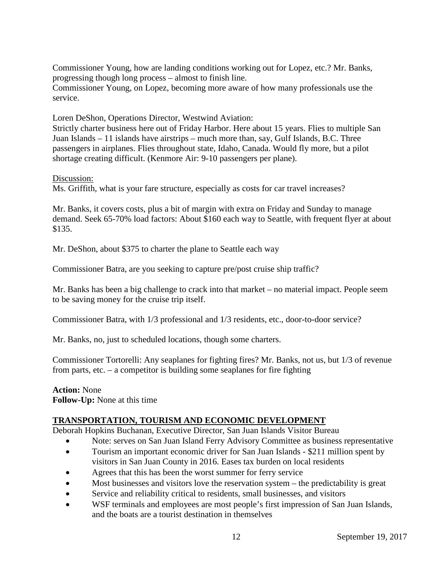Commissioner Young, how are landing conditions working out for Lopez, etc.? Mr. Banks, progressing though long process – almost to finish line.

Commissioner Young, on Lopez, becoming more aware of how many professionals use the service.

Loren DeShon, Operations Director, Westwind Aviation:

Strictly charter business here out of Friday Harbor. Here about 15 years. Flies to multiple San Juan Islands – 11 islands have airstrips – much more than, say, Gulf Islands, B.C. Three passengers in airplanes. Flies throughout state, Idaho, Canada. Would fly more, but a pilot shortage creating difficult. (Kenmore Air: 9-10 passengers per plane).

Discussion:

Ms. Griffith, what is your fare structure, especially as costs for car travel increases?

Mr. Banks, it covers costs, plus a bit of margin with extra on Friday and Sunday to manage demand. Seek 65-70% load factors: About \$160 each way to Seattle, with frequent flyer at about \$135.

Mr. DeShon, about \$375 to charter the plane to Seattle each way

Commissioner Batra, are you seeking to capture pre/post cruise ship traffic?

Mr. Banks has been a big challenge to crack into that market – no material impact. People seem to be saving money for the cruise trip itself.

Commissioner Batra, with 1/3 professional and 1/3 residents, etc., door-to-door service?

Mr. Banks, no, just to scheduled locations, though some charters.

Commissioner Tortorelli: Any seaplanes for fighting fires? Mr. Banks, not us, but 1/3 of revenue from parts, etc. – a competitor is building some seaplanes for fire fighting

#### **Action:** None **Follow-Up:** None at this time

# **TRANSPORTATION, TOURISM AND ECONOMIC DEVELOPMENT**

Deborah Hopkins Buchanan, Executive Director, San Juan Islands Visitor Bureau

- Note: serves on San Juan Island Ferry Advisory Committee as business representative
- Tourism an important economic driver for San Juan Islands \$211 million spent by visitors in San Juan County in 2016. Eases tax burden on local residents
- Agrees that this has been the worst summer for ferry service
- Most businesses and visitors love the reservation system the predictability is great
- Service and reliability critical to residents, small businesses, and visitors
- WSF terminals and employees are most people's first impression of San Juan Islands, and the boats are a tourist destination in themselves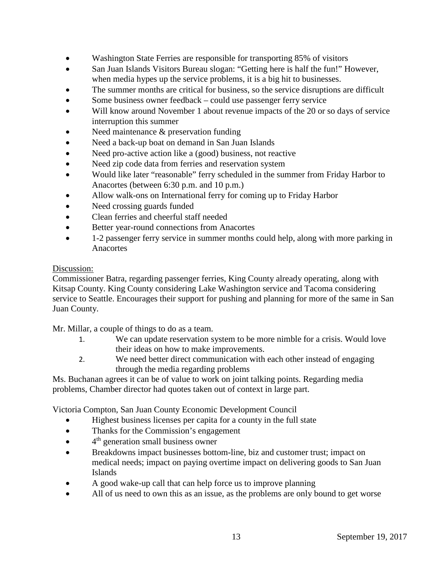- Washington State Ferries are responsible for transporting 85% of visitors
- San Juan Islands Visitors Bureau slogan: "Getting here is half the fun!" However, when media hypes up the service problems, it is a big hit to businesses.
- The summer months are critical for business, so the service disruptions are difficult
- Some business owner feedback could use passenger ferry service
- Will know around November 1 about revenue impacts of the 20 or so days of service interruption this summer
- Need maintenance  $&$  preservation funding
- Need a back-up boat on demand in San Juan Islands
- Need pro-active action like a (good) business, not reactive
- Need zip code data from ferries and reservation system
- Would like later "reasonable" ferry scheduled in the summer from Friday Harbor to Anacortes (between 6:30 p.m. and 10 p.m.)
- Allow walk-ons on International ferry for coming up to Friday Harbor
- Need crossing guards funded
- Clean ferries and cheerful staff needed
- Better year-round connections from Anacortes
- 1-2 passenger ferry service in summer months could help, along with more parking in Anacortes

### Discussion:

Commissioner Batra, regarding passenger ferries, King County already operating, along with Kitsap County. King County considering Lake Washington service and Tacoma considering service to Seattle. Encourages their support for pushing and planning for more of the same in San Juan County.

Mr. Millar, a couple of things to do as a team.

- 1. We can update reservation system to be more nimble for a crisis. Would love their ideas on how to make improvements.
- 2. We need better direct communication with each other instead of engaging through the media regarding problems

Ms. Buchanan agrees it can be of value to work on joint talking points. Regarding media problems, Chamber director had quotes taken out of context in large part.

Victoria Compton, San Juan County Economic Development Council

- Highest business licenses per capita for a county in the full state
- Thanks for the Commission's engagement
- 4<sup>th</sup> generation small business owner
- Breakdowns impact businesses bottom-line, biz and customer trust; impact on medical needs; impact on paying overtime impact on delivering goods to San Juan Islands
- A good wake-up call that can help force us to improve planning
- All of us need to own this as an issue, as the problems are only bound to get worse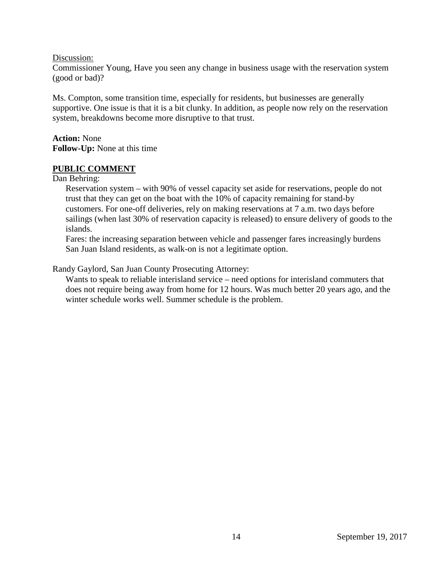Discussion:

Commissioner Young, Have you seen any change in business usage with the reservation system (good or bad)?

Ms. Compton, some transition time, especially for residents, but businesses are generally supportive. One issue is that it is a bit clunky. In addition, as people now rely on the reservation system, breakdowns become more disruptive to that trust.

**Action:** None **Follow-Up:** None at this time

#### **PUBLIC COMMENT**

#### Dan Behring:

Reservation system – with 90% of vessel capacity set aside for reservations, people do not trust that they can get on the boat with the 10% of capacity remaining for stand-by customers. For one-off deliveries, rely on making reservations at 7 a.m. two days before sailings (when last 30% of reservation capacity is released) to ensure delivery of goods to the islands.

Fares: the increasing separation between vehicle and passenger fares increasingly burdens San Juan Island residents, as walk-on is not a legitimate option.

Randy Gaylord, San Juan County Prosecuting Attorney:

Wants to speak to reliable interisland service – need options for interisland commuters that does not require being away from home for 12 hours. Was much better 20 years ago, and the winter schedule works well. Summer schedule is the problem.